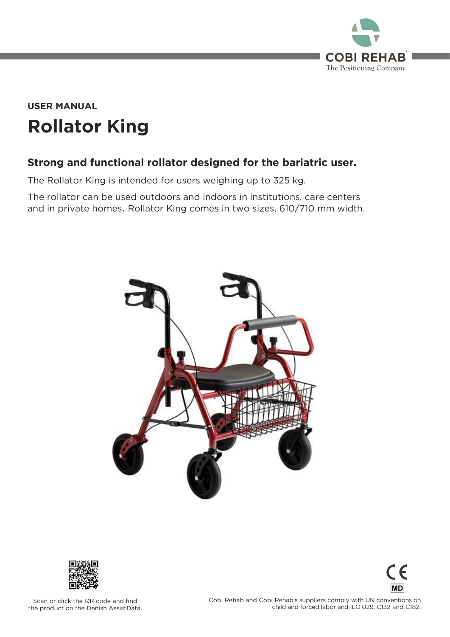

## **Rollator King USER MANUAL**

### **Strong and functional rollator designed for the bariatric user.**

The Rollator King is intended for users weighing up to 325 kg.<br>The rollator can be used outdoors and indoors in institutions, care centers  $T$  and in private beings. Dellator King comes in two sizes,  $610/710$  mm width and in private homes. Rollator King comes in two sizes, 610/710 mm width.





 $\in$   $\in$ **MD** 

scan or chemine and code and mile.<br>Pe product on the Danish AssistData the product on the Danish AssistData.  $\frac{1}{2}$  child and forced labor and II 0.029 C132 and C182 child and forced labor and ILO 029, C132 and C132 and C132 and C132 and C182.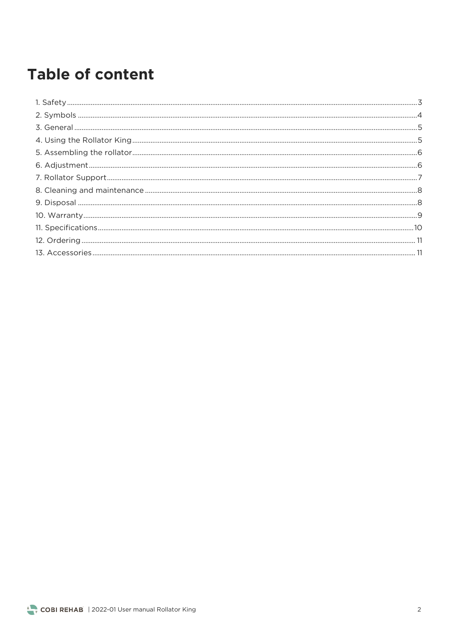## **Table of content**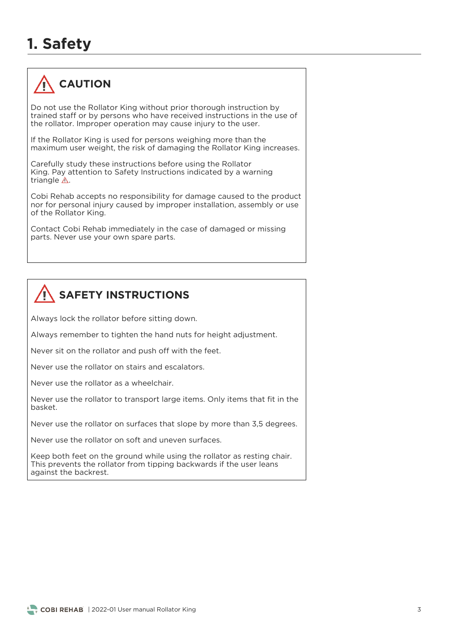## **1. Safety**



Do not use the Rollator King without prior thorough instruction by trained staff or by persons who have received instructions in the use of the rollator. Improper operation may cause injury to the user. the rollator. Improper operation may cause injury to the user.

If the Rollator King is used for persons weighing more than the maximum user weight, the risk of damaging the Rollator King increases. maximum user weight, the risk of damaging the Rollator King increases.

Carefully study these instructions before using the Rollator<br>King, Pay attention to Safety Instructions indicated by a warning triangle  $\triangle$ . triangle .

Cobi Rehab accepts no responsibility for damage caused to the product nor for personal injury caused by improper installation, assembly or use of the Rollator King. of the Rollator King.

Contact Cobi Rehab immediately in the case of damaged or missing parts. Never use your own spare parts.



Always lock the rollator before sitting down.

Always remember to tighten the hand nuts for height adjustment.

Never sit on the rollator and push off with the feet.

Never use the rollator as a wheelchair.

Never use the rollator to transport large items. Only items that fit in the

Never use the rollator on surfaces that slope by more than 3,5 degrees.

Never use the rollator on soft and uneven surfaces.

Keep both feet on the ground while using the rollator as resting chair.<br>This prevents the rollator from tipping backwards if the user leans against the backrest. against the backrest.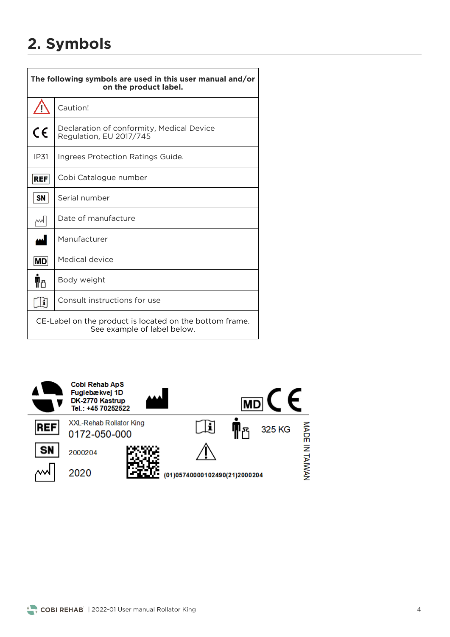## **2. Symbols**

| The following symbols are used in this user manual and/or<br>on the product label.     |                                                                      |  |  |  |
|----------------------------------------------------------------------------------------|----------------------------------------------------------------------|--|--|--|
| Ţ                                                                                      | Caution!                                                             |  |  |  |
| $\epsilon$                                                                             | Declaration of conformity, Medical Device<br>Regulation, EU 2017/745 |  |  |  |
| <b>IP31</b>                                                                            | Ingrees Protection Ratings Guide.                                    |  |  |  |
| REF                                                                                    | Cobi Catalogue number                                                |  |  |  |
| <b>SN</b>                                                                              | Serial number                                                        |  |  |  |
| ml                                                                                     | Date of manufacture                                                  |  |  |  |
| لممه                                                                                   | Manufacturer                                                         |  |  |  |
| MD                                                                                     | Medical device                                                       |  |  |  |
| ¶۴                                                                                     | Body weight                                                          |  |  |  |
| i                                                                                      | Consult instructions for use                                         |  |  |  |
| CE-Label on the product is located on the bottom frame.<br>See example of label below. |                                                                      |  |  |  |



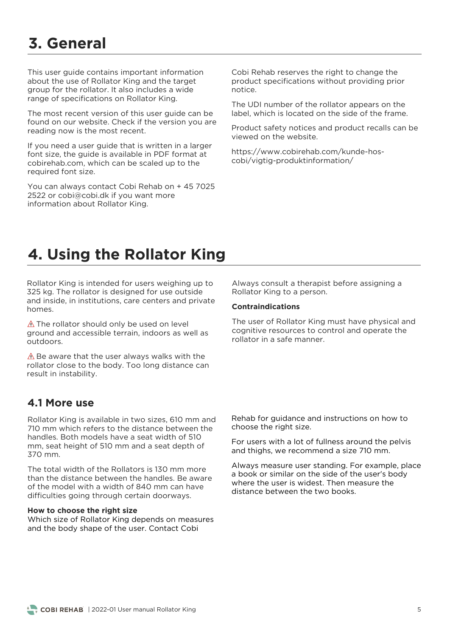## **3. General**

This user quide contains important information about the use of Rollator King and the target aroup for the rollator. It also includes a wide group<br>range of specifications on Rollator King range of specifications on Rollator King.

The most recent version of this user guide can be found on our website. Check if the version you are reading now is the most recent. reading now is the most recent.

If you need a user guide that is written in a larger<br>font size, the quide is available in PDF format at cobirehab.com, which can be scaled up to the required font size. required font size.

You can always contact Cobi Rehab on + 45 7025<br>2522 or cobi@cobi.dk if you want more  $\frac{1}{2}$  information about Rollator King information about Rollator King.

Cobi Rehab reserves the right to change the<br>product specifications without providing prior notice

The UDI number of the rollator appears on the label, which is located on the side of the frame. label, which is located on the side of the frame.

Product safety notices and product recalls can be

https://<br>https://www.com/kundermation/  $\sum_{i=1}^{n}$ 

## **4. Using the Rollator King**

Rollator King is intended for users weighing up to 325 kg. The rollator is designed for use outside and inside, in institutions, care centers and private and inside in institutions, care centers and private centers and private  $\frac{1}{2}$ 

 $\triangle$  The rollator should only be used on level<br>ground and accessible terrain, indoors as well as outdoors.

 $\triangle$  Be aware that the user always walks with the rollator close to the body. Too long distance can result in instability. result in instability.

### **4.1 More use**

Rollator King is available in two sizes, 610 mm and<br>710 mm which refers to the distance between the handles. Both models have a seat width of 510 mm, seat height of 510 mm and a seat depth of 370 mm.

The total width of the Rollators is 130 mm more than the distance between the handles. Be aware of the model with a width of 840 mm can have difficulties going through certain doorways difficulties going through certain doorways.

#### **How to choose the right size**

Which size of Rollator King depends on measures<br>and the body shape of the user. Contact Cobi and the body shape of the user. Contact Cobi

Rollator King to a person Rollator King to a person.

#### **Contraindications**

The user of Rollator King must have physical and cognitive resources to control and operate the rollator in a safe manner.

Rehab for guidance and instructions on how to choose the right size. choose the right size.

and thighs we recommend a size  $710 \text{ mm}$ and thighs, we recommend a size 710 mm.

a book or similar on the side of the user's body<br>where the user is widest. Then measure the distance between the two books. distance between the two books.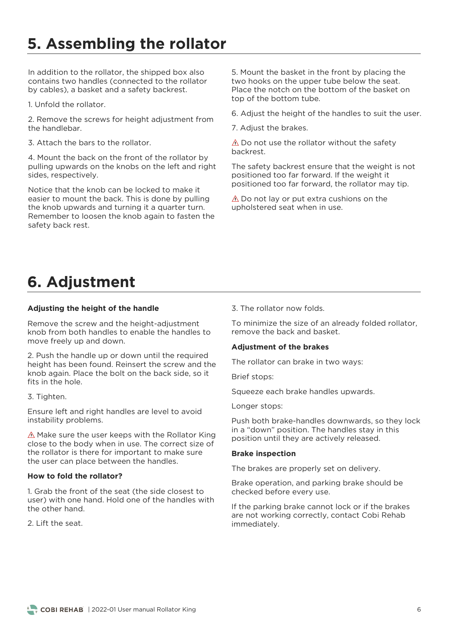## **5. Assembling the rollator**

In addition to the rollator, the shipped box also contains two handles (connected to the rollator by cables), a basket and a safety backrest. by cables), a basket and a safety backrest.

1. Unfold the rollator. 1. Unfold the rollator.

2. Remove the screws for height adjustment from

3 Attach the bars to the rollator

4. Mount the back on the front of the rollator by pulling upwards on the knobs on the left and right sides, respectively. sides, respectively.

Notice that the knob can be locked to make it easier to mount the back. This is done by pulling the knob upwards and turning it a quarter turn. Remember to loosen the knob again to fasten the safety back rest. safety back rest.

5. Mount the basket in the front by placing the two hooks on the upper tube below the seat. Place the notch on the bottom of the basket on top of the bottom tube. top of the bottom tube.

6. Adjust the height of the handles to suit the user.

7. Adjust the brakes.

 $\triangle$  Do not use the rollator without the safety backrest.

The safety backrest ensure that the weight is not positioned too far forward. If the weight it positioned too far forward the rollator may positioned too far forward, the rollator may tip.

 $\triangle$  Do not lay or put extra cushions on the upholstered seat when in use. upholstered seat when in use.

## **6. Adjustment**

#### **Adjusting the height of the handle**

Remove the screw and the height-adjustment<br>knob from both handles to enable the handles to know in the continuous to enable the handles to move freely up and down.

2. Push the handle up or down until the required knob again. Place the bolt on the back side, so it fits in the hole.

### 3. Tighten.

Ensure left and right handles are level to avoid instability problems.

 $\triangle$  Make sure the user keeps with the Rollator King close to the body when in use. The correct size of the rollator is there for important to make sure. the user can place between the handles the user can place between the handles.

#### **How to fold the rollator?**

1. Grab the front of the seat (the side closest to the other hand.

3. The rollator now folds.

To minimize the size of an already folded rollator, remove the back and basket.

#### **Adjustment of the brakes**

The rollator can brake in two ways:

Brief stops:

Squeeze each brake handles upwards.

Longer stops:

Push both brake-handles downwards, so they lock<br>in a "down" position. The handles stay in this in a "down" position. The handles stay in this position until they are actively released.

#### **Brake inspection**

The brakes are properly set on delivery.

Branc operation, and parking branc should be checked before every use.

If the parking brake cannot lock or if the brakes<br>are not working correctly, contact Cobi Rehab immediately. immediately.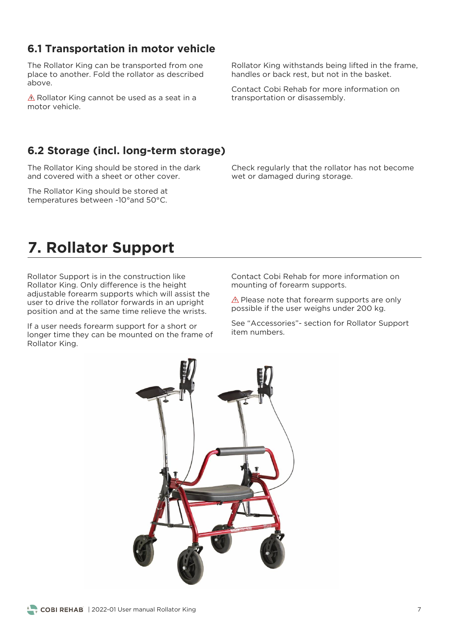## **6.1 Transportation in motor vehicle**

The Rollator King can be transported from one place to another. Fold the rollator as described above.

A Rollator King cannot be used as a seat in a motor vehicle.

### **6.2 Storage (incl. long-term storage)**

The Rollator King should be stored in the dark<br>and covered with a sheet or other cover.

The Rollator King should be stored at temperatures between -10° and 50°C. temperatures between -10°and 50°C.

Rollator King withstands being lifted in the frame, handles or back rest, but not in the basket. handles or back rest, but not in the basket.

Contact Cobi Rehab for more information on transportation or disassembly.

Check regularly that the rollator has not become wet or damaged during storage.

## **7. Rollator Support**

Rollator Support is in the construction like<br>Rollator King. Only difference is the height adjustable forearm supports which will assist the user to drive the rollator forwards in an upright position and at the same time relieve the wrists. position and at the same time relieve the wrists.

If a user needs forearm support for a short or<br>longer time they can be mounted on the frame of Rollator King. Rollator King.

Contact Cobi Rehab for more information on<br>mounting of forearm supports. mounting of forearm supports.

Prease note that forearm supports are single<br>issible if the user weighs under 200 kg possible if the user weighs under 200 kg.

See "Accessories"- section for Rollator Support<br>item numbers.

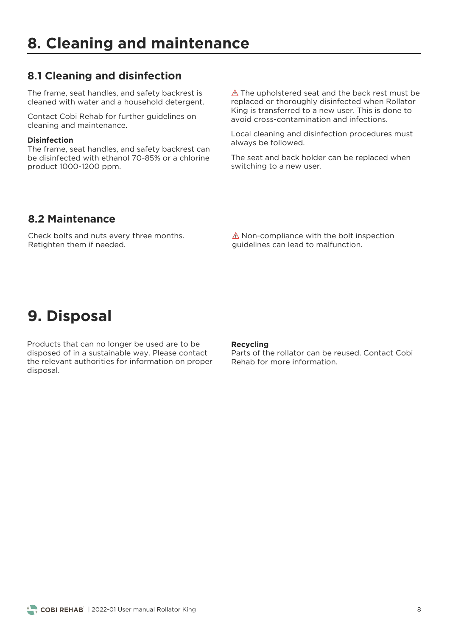### **8.1 Cleaning and disinfection**

The frame, seat handles, and safety backrest is cleaned with water and a household detergent. cleaned with water and a household detergent.

Contact Cobi Rehab for further guidelines on cleaning and maintenance.

#### **Disinfection**

The frame, seat handles, and safety backrest can<br>be disinfected with ethanol 70-85% or a chlorine be disinfected with ethanol 70-85% or a chlorine product 1000-1200 ppm.

 $\triangle$  The upholstered seat and the back rest must be replaced or thoroughly disinfected when Rollator King is transferred to a new user. This is done to avoid cross-contamination and infections.

always be followed always be followed.

 $\frac{1}{2}$  switching to a new user switching to a new user.

### **8.2 Maintenance**

Check bolts and nuts every three months.<br>Retighten them if needed. Retighten them if needed.

 $\triangle$  Non-compliance with the bolt inspection quidelines can lead to malfunction. guidelines can lead to malfunction.

## **9. Disposal**

Products that can no longer be used are to be disposed of in a sustainable way. Please contact the relevant authorities for information on proper disposal. disposal.

**Recycling**<br>Parts of the rollator can be reused. Contact Cobi Rehab for more information.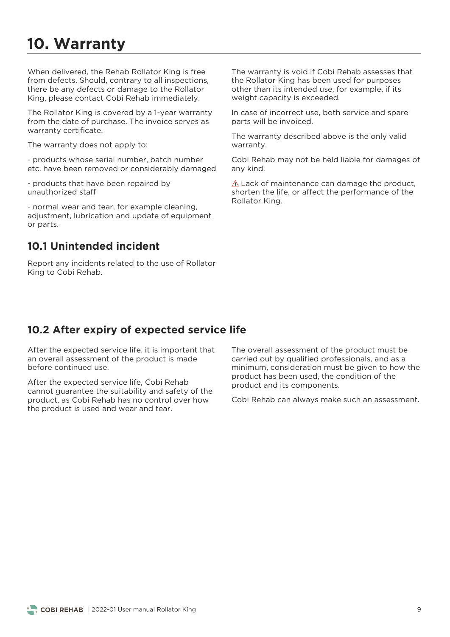## **10. Warranty**

When delivered, the Rehab Rollator King is free from defects. Should, contrary to all inspections. there be any defects or damage to the Rollator King please contact Cobi Rehab immediately  $\mathcal{L}$ 

The Rollator King is covered by a 1-year warranty from the date of purchase. The invoice serves as warranty certificate. warranty certificate.

The warranty does not apply to:

etchave heen removed or considerably damage etc. have been removed or considerably damaged

- products that have been repaired by<br>unauthorized staff

- normal wear and tear, for example cleaning,<br>adjustment, lubrication and update of equipment or parts. or parts.

### **10.1 Unintended incident**

Report any incidents related to the use of Rollator King to Cobi Rehab. King to Cobi Rehab.

The warranty is void if Cobi Rehab assesses that the Rollator King has been used for purposes other than its intended use, for example, if its weight capacity is exceeded.  $\ldots$  give capacity is exceeded.

In case of incorrect use, both service and spare parts will be invoiced. parts will be invoiced.

The warranty described above is the only valid warranty. warranty.

Cobi Rehab may not be held liable for damages of any kind.

 $\triangle$  Lack of maintenance can damage the product, shorten the life, or affect the performance of the Rollator King. Rollator King.

### **10.2 After expiry of expected service life**

After the expected service life, it is important that an overall assessment of the product is made before continued use.

After the expected service life, Cobi Rehab<br>cannot guarantee the suitability and safety of the product, as Cobi Rehab has no control over how the product is used and wear and tear. the product is used and wear and tear.

The overall assessment of the product must be carried out by qualified professionals, and as a minimum, consideration must be given to how the product has been used, the condition of the product and its components product and its components.

Cobi Rehab can always make such an assessment.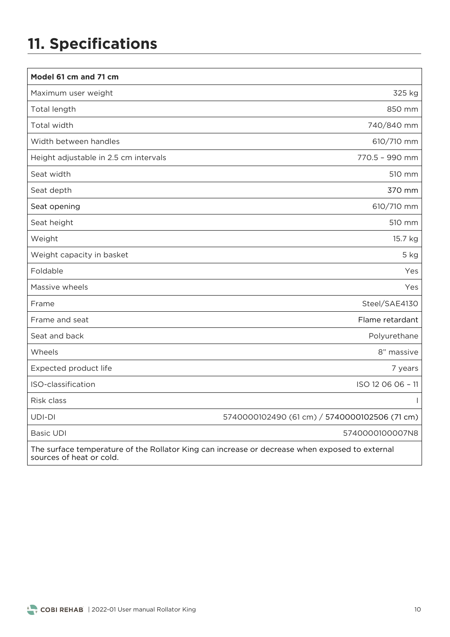## **11. Specifications**

| Model 61 cm and 71 cm                 |                                                                                                |
|---------------------------------------|------------------------------------------------------------------------------------------------|
| Maximum user weight                   | 325 kg                                                                                         |
| Total length                          | 850 mm                                                                                         |
| Total width                           | 740/840 mm                                                                                     |
| Width between handles                 | 610/710 mm                                                                                     |
| Height adjustable in 2.5 cm intervals | 770.5 - 990 mm                                                                                 |
| Seat width                            | 510 mm                                                                                         |
| Seat depth                            | 370 mm                                                                                         |
| Seat opening                          | 610/710 mm                                                                                     |
| Seat height                           | 510 mm                                                                                         |
| Weight                                | 15.7 kg                                                                                        |
| Weight capacity in basket             | 5 kg                                                                                           |
| Foldable                              | Yes                                                                                            |
| Massive wheels                        | Yes                                                                                            |
| Frame                                 | Steel/SAE4130                                                                                  |
| Frame and seat                        | Flame retardant                                                                                |
| Seat and back                         | Polyurethane                                                                                   |
| Wheels                                | 8" massive                                                                                     |
| Expected product life                 | 7 years                                                                                        |
| ISO-classification                    | ISO 12 06 06 - 11                                                                              |
| Risk class                            |                                                                                                |
| UDI-DI                                | 5740000102490 (61 cm) / 5740000102506 (71 cm)                                                  |
| <b>Basic UDI</b>                      | 5740000100007N8                                                                                |
| sources of heat or cold.              | The surface temperature of the Rollator King can increase or decrease when exposed to external |

sources of heat or cold.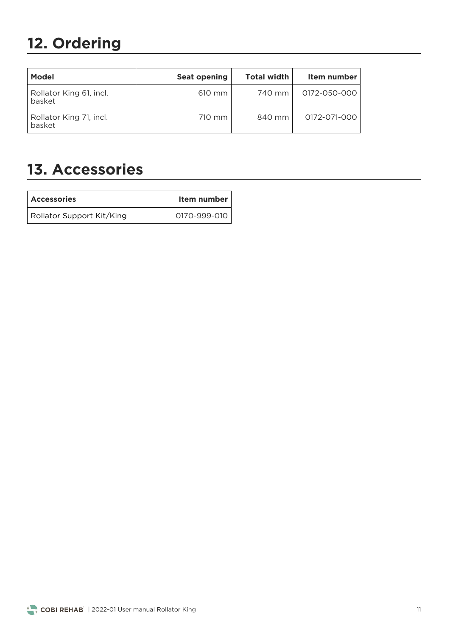# **12. Ordering**

| <b>Model</b>                      | <b>Seat opening</b> | <b>Total width</b> | Item number  |
|-----------------------------------|---------------------|--------------------|--------------|
| Rollator King 61, incl.<br>basket | 610 mm              | 740 mm             | 0172-050-000 |
| Rollator King 71, incl.<br>basket | 710 mm              | 840 mm             | 0172-071-000 |

## **13. Accessories**

| <b>Accessories</b>        | Item number  |
|---------------------------|--------------|
| Rollator Support Kit/King | 0170-999-010 |